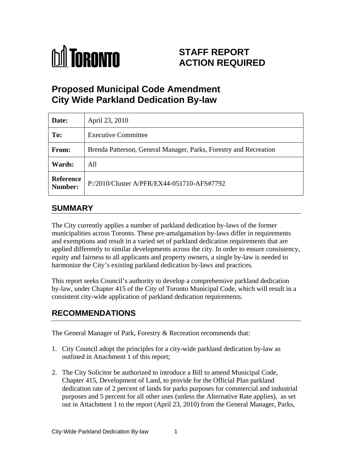

# **STAFF REPORT ACTION REQUIRED**

# **Proposed Municipal Code Amendment City Wide Parkland Dedication By-law**

| Date:  | April 23, 2010                                                    |
|--------|-------------------------------------------------------------------|
| To:    | <b>Executive Committee</b>                                        |
| From:  | Brenda Patterson, General Manager, Parks, Forestry and Recreation |
| Wards: | All                                                               |
|        | Reference<br>Number: P:/2010/Cluster A/PFR/EX44-051710-AFS#7792   |

# **SUMMARY**

The City currently applies a number of parkland dedication by-laws of the former municipalities across Toronto. These pre-amalgamation by-laws differ in requirements and exemptions and result in a varied set of parkland dedication requirements that are applied differently to similar developments across the city. In order to ensure consistency, equity and fairness to all applicants and property owners, a single by-law is needed to harmonize the City's existing parkland dedication by-laws and practices.

This report seeks Council's authority to develop a comprehensive parkland dedication by-law, under Chapter 415 of the City of Toronto Municipal Code, which will result in a consistent city-wide application of parkland dedication requirements.

# **RECOMMENDATIONS**

The General Manager of Park, Forestry & Recreation recommends that:

- 1. City Council adopt the principles for a city-wide parkland dedication by-law as outlined in Attachment 1 of this report;
- 2. The City Solicitor be authorized to introduce a Bill to amend Municipal Code, Chapter 415, Development of Land, to provide for the Official Plan parkland dedication rate of 2 percent of lands for parks purposes for commercial and industrial purposes and 5 percent for all other uses (unless the Alternative Rate applies), as set out in Attachment 1 to the report (April 23, 2010) from the General Manager, Parks,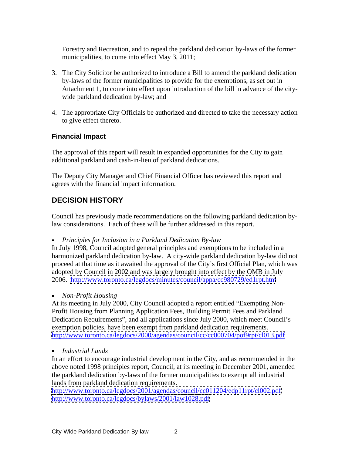Forestry and Recreation, and to repeal the parkland dedication by-laws of the former municipalities, to come into effect May 3, 2011;

- 3. The City Solicitor be authorized to introduce a Bill to amend the parkland dedication by-laws of the former municipalities to provide for the exemptions, as set out in Attachment 1, to come into effect upon introduction of the bill in advance of the city wide parkland dedication by-law; and
- 4. The appropriate City Officials be authorized and directed to take the necessary action to give effect thereto.

## **Financial Impact**

The approval of this report will result in expanded opportunities for the City to gain additional parkland and cash-in-lieu of parkland dedications.

The Deputy City Manager and Chief Financial Officer has reviewed this report and agrees with the financial impact information.

## **DECISION HISTORY**

Council has previously made recommendations on the following parkland dedication bylaw considerations. Each of these will be further addressed in this report.

*Principles for Inclusion in a Parkland Dedication By-law*   $\mathbf{r}^{\prime}$ 

In July 1998, Council adopted general principles and exemptions to be included in a harmonized parkland dedication by-law. A city-wide parkland dedication by-law did not proceed at that time as it awaited the approval of the City's first Official Plan, which was adopted by Council in 2002 and was largely brought into effect by the OMB in July 2006. <http://www.toronto.ca/legdocs/minutes/council/appa/cc980729/ed1rpt.htm>

*Non-Profit Housing*

At its meeting in July 2000, City Council adopted a report entitled "Exempting Non- Profit Housing from Planning Application Fees, Building Permit Fees and Parkland Dedication Requirements", and all applications since July 2000, which meet Council's exemption policies, have been exempt from parkland dedication requirements. <http://www.toronto.ca/legdocs/2000/agendas/council/cc/cc000704/pof9rpt/cl013.pdf>

 $\mathbf{r}$ *Industrial Lands*

In an effort to encourage industrial development in the City, and as recommended in the above noted 1998 principles report, Council, at its meeting in December 2001, amended the parkland dedication by-laws of the former municipalities to exempt all industrial lands from parkland dedication requirements.

<http://www.toronto.ca/legdocs/2001/agendas/council/cc011204/edp11rpt/cl002.pdf> <http://www.toronto.ca/legdocs/bylaws/2001/law1028.pdf>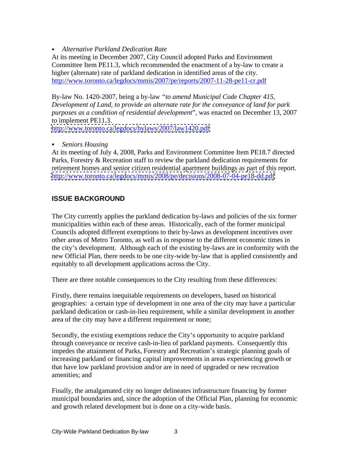*Alternative Parkland Dedication Rate*

At its meeting in December 2007, City Council adopted Parks and Environment Committee Item PE11.3, which recommended the enactment of a by-law to create a higher (alternate) rate of parkland dedication in identified areas of the city.<br>http://www.toronto.ca/legdocs/mmis/2007/pe/reports/2007-11-28-pe11-cr.pdf

By-law No. 1420-2007, being a by-law *"to amend Municipal Code Chapter 415, Development of Land, to provide an alternate rate for the conveyance of land for park purposes as a condition of residential development*", was enacted on December 13, 2007 to implement PE11.3.

<http://www.toronto.ca/legdocs/bylaws/2007/law1420.pdf>

## *Seniors Housing*

At its meeting of July 4, 2008, Parks and Environment Committee Item PE18.7 directed Parks, Forestry & Recreation staff to review the parkland dedication requirements for retirement homes and senior citizen residential apartment buildings as part of this report. <http://www.toronto.ca/legdocs/mmis/2008/pe/decisions/2008-07-04-pe18-dd.pdf>

## **ISSUE BACKGROUND**

The City currently applies the parkland dedication by-laws and policies of the six former municipalities within each of these areas. Historically, each of the former municipal Councils adopted different exemptions to their by-laws as development incentives over other areas of Metro Toronto, as well as in response to the different economic times in the city's development. Although each of the existing by-laws are in conformity with the new Official Plan, there needs to be one city-wide by-law that is applied consistently and equitably to all development applications across the City.

There are three notable consequences to the City resulting from these differences:

Firstly, there remains inequitable requirements on developers, based on historical geographies: a certain type of development in one area of the city may have a particular parkland dedication or cash-in-lieu requirement, while a similar development in another

area of the city may have a different requirement or none;<br>Secondly, the existing exemptions reduce the City's opportunity to acquire parkland through conveyance or receive cash-in-lieu of parkland payments. Consequently this impedes the attainment of Parks, Forestry and Recreation's strategic planning goals of increasing parkland or financing capital improvements in areas experiencing growth or that have low parkland provision and/or are in need of upgraded or new recreation amenities; and

Finally, the amalgamated city no longer delineates infrastructure financing by former municipal boundaries and, since the adoption of the Official Plan, planning for economic and growth related development but is done on a city-wide basis.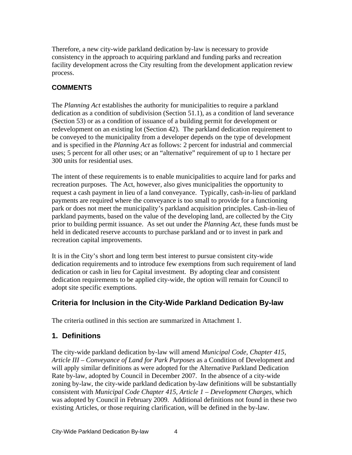Therefore, a new city-wide parkland dedication by-law is necessary to provide consistency in the approach to acquiring parkland and funding parks and recreation facility development across the City resulting from the development application review process.

## **COMMENTS**

The *Planning Act* establishes the authority for municipalities to require a parkland dedication as a condition of subdivision (Section 51.1), as a condition of land severance (Section 53) or as a condition of issuance of a building permit for development or redevelopment on an existing lot (Section 42). The parkland dedication requirement to be conveyed to the municipality from a developer depends on the type of development and is specified in the *Planning Act* as follows: 2 percent for industrial and commercial uses; 5 percent for all other uses; or an "alternative" requirement of up to 1 hectare per

300 units for residential uses. The intent of these requirements is to enable municipalities to acquire land for parks and recreation purposes. The Act, however, also gives municipalities the opportunity to request a cash payment in lieu of a land conveyance. Typically, cash-in-lieu of parkland payments are required where the conveyance is too small to provide for a functioning park or does not meet the municipality's parkland acquisition principles. Cash-in-lieu of parkland payments, based on the value of the developing land, are collected by the City prior to building permit issuance. As set out under the *Planning Act,* these funds must be held in dedicated reserve accounts to purchase parkland and or to invest in park and recreation capital improvements.

It is in the City's short and long term best interest to pursue consistent city-wide dedication requirements and to introduce few exemptions from such requirement of land dedication or cash in lieu for Capital investment. By adopting clear and consistent dedication requirements to be applied city-wide, the option will remain for Council to adopt site specific exemptions.

## **Criteria for Inclusion in the City-Wide Parkland Dedication By-law**

The criteria outlined in this section are summarized in Attachment 1.

# **1. Definitions**

The city-wide parkland dedication by-law will amend *Municipal Code, Chapter 415, Article III – Conveyance of Land for Park Purposes* as a Condition of Development and will apply similar definitions as were adopted for the Alternative Parkland Dedication Rate by-law, adopted by Council in December 2007. In the absence of a city-wide zoning by-law, the city-wide parkland dedication by-law definitions will be substantially consistent with *Municipal Code Chapter 415, Article 1 – Development Charges*, which was adopted by Council in February 2009. Additional definitions not found in these two existing Articles, or those requiring clarification, will be defined in the by-law.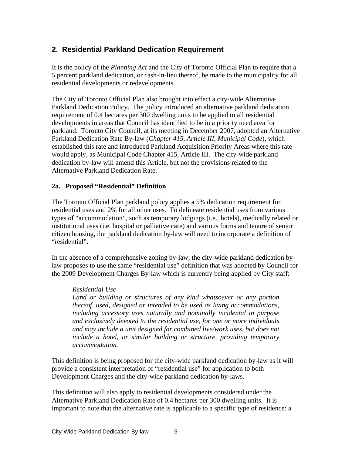## **2. Residential Parkland Dedication Requirement**

It is the policy of the *Planning Act* and the City of Toronto Official Plan to require that a 5 percent parkland dedication, or cash-in-lieu thereof, be made to the municipality for all residential developments or redevelopments. The City of Toronto Official Plan also brought into effect a city-wide Alternative

Parkland Dedication Policy. The policy introduced an alternative parkland dedication requirement of 0.4 hectares per 300 dwelling units to be applied to all residential developments in areas that Council has identified to be in a priority need area for parkland. Toronto City Council, at its meeting in December 2007, adopted an Alternative Parkland Dedication Rate By-law (*Chapter 415, Article III, Municipal Code*), which established this rate and introduced Parkland Acquisition Priority Areas where this rate would apply, as Municipal Code Chapter 415, Article III. The city-wide parkland dedication by-law will amend this Article, but not the provisions related to the Alternative Parkland Dedication Rate.

#### **2a. Proposed "Residential" Definition**

The Toronto Official Plan parkland policy applies a 5% dedication requirement for residential uses and 2% for all other uses. To delineate residential uses from various types of "accommodation", such as temporary lodgings (i.e., hotels), medically related or institutional uses (i.e. hospital or palliative care) and various forms and tenure of senior citizen housing, the parkland dedication by-law will need to incorporate a definition of "residential".

In the absence of a comprehensive zoning by-law, the city-wide parkland dedication bylaw proposes to use the same "residential use" definition that was adopted by Council for the 2009 Development Charges By-law which is currently being applied by City staff:

#### *Residential Use –*

*Land or building or structures of any kind whatsoever or any portion thereof, used, designed or intended to be used as living accommodations, including accessory uses naturally and nominally incidental in purpose and exclusively devoted to the residential use, for one or more individuals and may include a unit designed for combined live/work uses, but does not include a hotel, or similar building or structure, providing temporary accommodation.*

This definition is being proposed for the city-wide parkland dedication by-law as it will provide a consistent interpretation of "residential use" for application to both Development Charges and the city-wide parkland dedication by-laws.

This definition will also apply to residential developments considered under the Alternative Parkland Dedication Rate of 0.4 hectares per 300 dwelling units. It is important to note that the alternative rate is applicable to a specific type of residence: a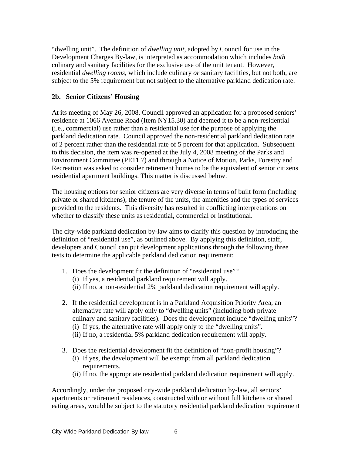"dwelling unit". The definition of *dwelling unit,* adopted by Council for use in the Development Charges By-law, is interpreted as accommodation which includes *both* culinary and sanitary facilities for the exclusive use of the unit tenant. However, residential *dwelling rooms*, which include culinary *or* sanitary facilities, but not both, are subject to the 5% requirement but not subject to the alternative parkland dedication rate.

#### **2b. Senior Citizens' Housing**

At its meeting of May 26, 2008, Council approved an application for a proposed seniors' residence at 1066 Avenue Road (Item NY15.30) and deemed it to be a non-residential (i.e., commercial) use rather than a residential use for the purpose of applying the parkland dedication rate. Council approved the non-residential parkland dedication rate of 2 percent rather than the residential rate of 5 percent for that application. Subsequent to this decision, the item was re-opened at the July 4, 2008 meeting of the Parks and Environment Committee (PE11.7) and through a Notice of Motion, Parks, Forestry and Recreation was asked to consider retirement homes to be the equivalent of senior citizens residential apartment buildings. This matter is discussed below.

The housing options for senior citizens are very diverse in terms of built form (including private or shared kitchens), the tenure of the units, the amenities and the types of services provided to the residents. This diversity has resulted in conflicting interpretations on whether to classify these units as residential, commercial or institutional.

The city-wide parkland dedication by-law aims to clarify this question by introducing the definition of "residential use", as outlined above. By applying this definition, staff, developers and Council can put development applications through the following three tests to determine the applicable parkland dedication requirement:

- 1. Does the development fit the definition of "residential use"?
	- (i) If yes, a residential parkland requirement will apply.
	- (ii) If no, a non-residential 2% parkland dedication requirement will apply.
- 2. If the residential development is in a Parkland Acquisition Priority Area, an alternative rate will apply only to "dwelling units" (including both private culinary and sanitary facilities). Does the development include "dwelling units"? (i) If yes, the alternative rate will apply only to the "dwelling units".
	- (ii) If no, a residential 5% parkland dedication requirement will apply.
- 3. Does the residential development fit the definition of "non-profit housing"?
	- (i) If yes, the development will be exempt from all parkland dedication requirements.
	- (ii) If no, the appropriate residential parkland dedication requirement will apply.

Accordingly, under the proposed city-wide parkland dedication by-law, all seniors' apartments or retirement residences, constructed with or without full kitchens or shared eating areas, would be subject to the statutory residential parkland dedication requirement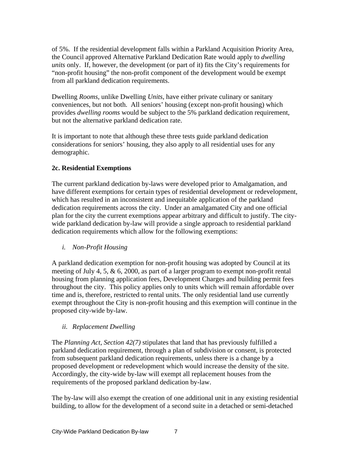of 5%. If the residential development falls within a Parkland Acquisition Priority Area, the Council approved Alternative Parkland Dedication Rate would apply to *dwelling units* only. If, however, the development (or part of it) fits the City's requirements for "non-profit housing" the non-profit component of the development would be exempt from all parkland dedication requirements.

Dwelling *Rooms*, unlike Dwelling *Units*, have either private culinary or sanitary conveniences, but not both. All seniors' housing (except non-profit housing) which provides *dwelling rooms* would be subject to the 5% parkland dedication requirement, but not the alternative parkland dedication rate.

It is important to note that although these three tests guide parkland dedication considerations for seniors' housing, they also apply to all residential uses for any demographic. The contract of the contract of the contract of the contract of the contract of the contract of the contract of the contract of the contract of the contract of the contract of the contract of the contract of t

## **2c. Residential Exemptions**

The current parkland dedication by-laws were developed prior to Amalgamation, and have different exemptions for certain types of residential development or redevelopment, which has resulted in an inconsistent and inequitable application of the parkland dedication requirements across the city. Under an amalgamated City and one official plan for the city the current exemptions appear arbitrary and difficult to justify. The city wide parkland dedication by-law will provide a single approach to residential parkland dedication requirements which allow for the following exemptions:

*i. Non-Profit Housing*

A parkland dedication exemption for non-profit housing was adopted by Council at its meeting of July 4, 5, & 6, 2000, as part of a larger program to exempt non-profit rental housing from planning application fees, Development Charges and building permit fees throughout the city. This policy applies only to units which will remain affordable over time and is, therefore, restricted to rental units. The only residential land use currently exempt throughout the City is non-profit housing and this exemption will continue in the proposed city-wide by-law.

#### *ii. Replacement Dwelling*

The *Planning Act*, *Section 42(7)* stipulates that land that has previously fulfilled a parkland dedication requirement, through a plan of subdivision or consent, is protected from subsequent parkland dedication requirements, unless there is a change by a proposed development or redevelopment which would increase the density of the site. Accordingly, the city-wide by-law will exempt all replacement houses from the requirements of the proposed parkland dedication by-law.

The by-law will also exempt the creation of one additional unit in any existing residential building, to allow for the development of a second suite in a detached or semi-detached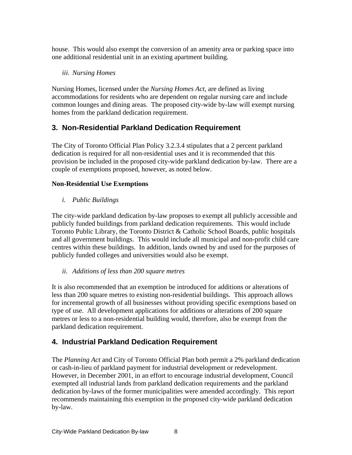house. This would also exempt the conversion of an amenity area or parking space into one additional residential unit in an existing apartment building.

## *iii. Nursing Homes*

Nursing Homes, licensed under the *Nursing Homes Act*, are defined as living accommodations for residents who are dependent on regular nursing care and include common lounges and dining areas. The proposed city-wide by-law will exempt nursing homes from the parkland dedication requirement.

# **3. Non-Residential Parkland Dedication Requirement**

The City of Toronto Official Plan Policy 3.2.3.4 stipulates that a 2 percent parkland dedication is required for all non-residential uses and it is recommended that this provision be included in the proposed city-wide parkland dedication by-law. There are a couple of exemptions proposed, however, as noted below.

## **Non-Residential Use Exemptions**

*i. Public Buildings*

The city-wide parkland dedication by-law proposes to exempt all publicly accessible and publicly funded buildings from parkland dedication requirements. This would include Toronto Public Library, the Toronto District & Catholic School Boards, public hospitals and all government buildings. This would include all municipal and non-profit child care centres within these buildings. In addition, lands owned by and used for the purposes of publicly funded colleges and universities would also be exempt.

## *ii. Additions of less than 200 square metres*

It is also recommended that an exemption be introduced for additions or alterations of less than 200 square metres to existing non-residential buildings. This approach allows for incremental growth of all businesses without providing specific exemptions based on type of use. All development applications for additions or alterations of 200 square metres or less to a non-residential building would, therefore, also be exempt from the parkland dedication requirement.

## **4. Industrial Parkland Dedication Requirement**

The *Planning Act* and City of Toronto Official Plan both permit a 2% parkland dedication or cash-in-lieu of parkland payment for industrial development or redevelopment. However, in December 2001, in an effort to encourage industrial development, Council exempted all industrial lands from parkland dedication requirements and the parkland dedication by-laws of the former municipalities were amended accordingly. This report recommends maintaining this exemption in the proposed city-wide parkland dedication by-law.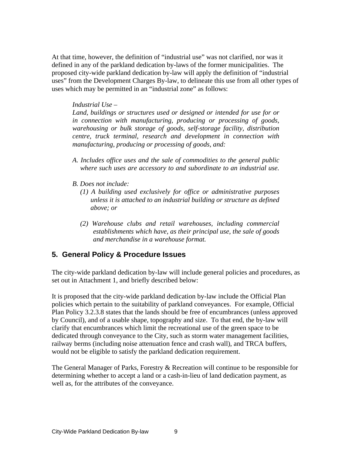At that time, however, the definition of "industrial use" was not clarified, nor was it defined in any of the parkland dedication by-laws of the former municipalities. The proposed city-wide parkland dedication by-law will apply the definition of "industrial uses" from the Development Charges By-law, to delineate this use from all other types of uses which may be permitted in an "industrial zone" as follows:

#### *Industrial Use –*

*Land, buildings or structures used or designed or intended for use for or in connection with manufacturing, producing or processing of goods, warehousing or bulk storage of goods, self-storage facility, distribution centre, truck terminal, research and development in connection with manufacturing, producing or processing of goods, and:*

- *A. Includes of ice uses and the sale of commodities to the general public where such uses are accessory to and subordinate to an industrial use.*
- *B. Does not include:*
	- *(1) A building used exclusively for of ice or administrative purposes unless it is attached to an industrial building or structure as defined above; or*
	- *(2) Warehouse clubs and retail warehouses, including commercial establishments which have, as their principal use, the sale of goods and merchandise in a warehouse format.*

#### **5. General Policy & Procedure Issues**

The city-wide parkland dedication by-law will include general policies and procedures, as set out in Attachment 1, and briefly described below:

It is proposed that the city-wide parkland dedication by-law include the Official Plan policies which pertain to the suitability of parkland conveyances. For example, Official Plan Policy 3.2.3.8 states that the lands should be free of encumbrances (unless approved by Council), and of a usable shape, topography and size. To that end, the by-law will clarify that encumbrances which limit the recreational use of the green space to be dedicated through conveyance to the City, such as storm water management facilities, railway berms (including noise attenuation fence and crash wall), and TRCA buffers, would not be eligible to satisfy the parkland dedication requirement.

The General Manager of Parks, Forestry & Recreation will continue to be responsible for determining whether to accept a land or a cash-in-lieu of land dedication payment, as well as, for the attributes of the conveyance.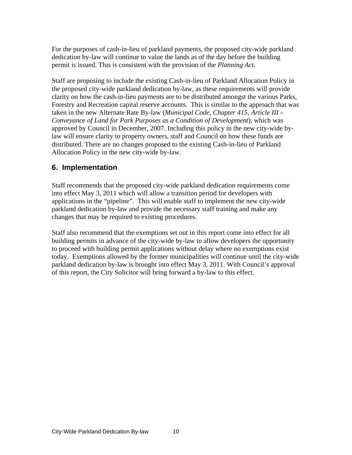For the purposes of cash-in-lieu of parkland payments, the proposed city-wide parkland dedication by-law will continue to value the lands as of the day before the building permit is issued. This is consistent with the provision of the *Planning Act.*

Staff are proposing to include the existing Cash-in-lieu of Parkland Allocation Policy in the proposed city-wide parkland dedication by-law, as these requirements will provide clarity on how the cash-in-lieu payments are to be distributed amongst the various Parks, Forestry and Recreation capital reserve accounts. This is similar to the approach that was taken in the new Alternate Rate By-law (*Municipal Code, Chapter 415, Article III – Conveyance of Land for Park Purposes as a Condition of Development*), which was approved by Council in December, 2007. Including this policy in the new city-wide bylaw will ensure clarity to property owners, staff and Council on how these funds are distributed. There are no changes proposed to the existing Cash-in-lieu of Parkland Allocation Policy in the new city-wide by-law.

## **6. Implementation**

Staff recommends that the proposed city-wide parkland dedication requirements come into effect May 3, 2011 which will allow a transition period for developers with applications in the "pipeline". This will enable staff to implement the new city-wide parkland dedication by-law and provide the necessary staff training and make any changes that may be required to existing procedures. Staff also recommend that the exemptions set out in this report come into effect for all

building permits in advance of the city-wide by-law to allow developers the opportunity to proceed with building permit applications without delay where no exemptions exist today. Exemptions allowed by the former municipalities will continue until the city-wide parkland dedication by-law is brought into effect May 3, 2011. With Council's approval of this report, the City Solicitor will bring forward a by-law to this effect.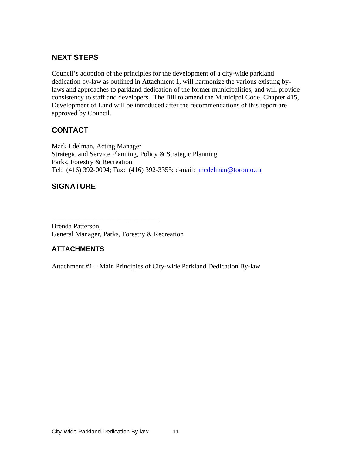## **NEXT STEPS**

Council's adoption of the principles for the development of a city-wide parkland dedication by-law as outlined in Attachment 1, will harmonize the various existing bylaws and approaches to parkland dedication of the former municipalities, and will provide consistency to staff and developers. The Bill to amend the Municipal Code, Chapter 415, Development of Land will be introduced after the recommendations of this report are approved by Council.

 $\overline{\phantom{a}}$  , we can assume that the contract of  $\overline{\phantom{a}}$  , we can assume that the contract of  $\overline{\phantom{a}}$ 

# **CONTACT**

Mark Edelman, Acting Manager Strategic and Service Planning, Policy & Strategic Planning Parks, Forestry & Recreation Tel: (416) 392-0094; Fax: (416) 392-3355; e-mail: medelman@toronto.ca

# **SIGNATURE**

Brenda Patterson, General Manager, Parks, Forestry & Recreation

## **ATTACHMENTS**

Attachment #1 – Main Principles of City-wide Parkland Dedication By-law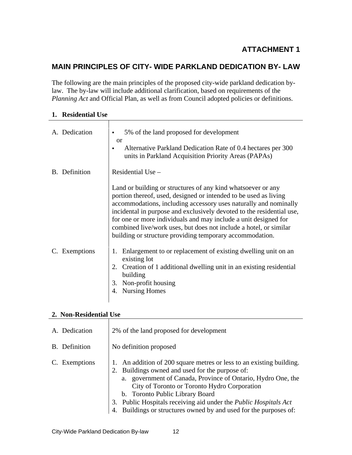## **ATTACHMENT 1**

## **MAIN PRINCIPLES OF CITY- WIDE PARKLAND DEDICATION BY- LAW**

The following are the main principles of the proposed city-wide parkland dedication bylaw. The by-law will include additional clarification, based on requirements of the *Planning Act* and Official Plan, as well as from Council adopted policies or definitions.

#### **1. Residential Use**

| A. Dedication | • 5% of the land proposed for development                                                                                                 |
|---------------|-------------------------------------------------------------------------------------------------------------------------------------------|
|               | <b>or</b>                                                                                                                                 |
|               | Alternative Parkland Dedication Rate of 0.4 hectares per 300<br>units in Parkland Acquisition Priority Areas (PAPAs)                      |
|               |                                                                                                                                           |
| B. Definition | Residential Use -                                                                                                                         |
|               |                                                                                                                                           |
|               | Land or building or structures of any kind whatsoever or any                                                                              |
|               | portion thereof, used, designed or intended to be used as living                                                                          |
|               | accommodations, including accessory uses naturally and nominally<br>incidental in purpose and exclusively devoted to the residential use, |
|               | for one or more individuals and may include a unit designed for                                                                           |
|               | combined live/work uses, but does not include a hotel, or similar                                                                         |
|               | building or structure providing temporary accommodation.                                                                                  |
|               |                                                                                                                                           |
| C. Exemptions | Enlargement to or replacement of existing dwelling unit on an                                                                             |
|               | existing lot                                                                                                                              |
|               | Creation of 1 additional dwelling unit in an existing residential                                                                         |
|               | building                                                                                                                                  |
|               | 3. Non-profit housing                                                                                                                     |
|               | 4. Nursing Homes                                                                                                                          |
|               |                                                                                                                                           |

#### **2. Non-Residential Use**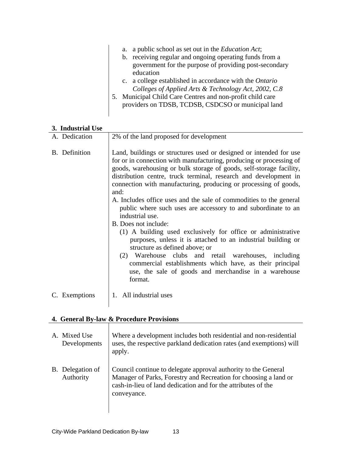| a. a public school as set out in the <i>Education Act</i> ;    |  |  |  |
|----------------------------------------------------------------|--|--|--|
| b. receiving regular and ongoing operating funds from a        |  |  |  |
| government for the purpose of providing post-secondary         |  |  |  |
| education                                                      |  |  |  |
| c. a college established in accordance with the <i>Ontario</i> |  |  |  |
| Colleges of Applied Arts & Technology Act, 2002, C.8           |  |  |  |
| 5. Municipal Child Care Centres and non-profit child care      |  |  |  |
| providers on TDSB, TCDSB, CSDCSO or municipal land             |  |  |  |

#### **3. Industrial Use**

| A. Dedication | 2% of the land proposed for development                                                                                                                                                                                                                                                                                                                                                                                                                                                                            |  |
|---------------|--------------------------------------------------------------------------------------------------------------------------------------------------------------------------------------------------------------------------------------------------------------------------------------------------------------------------------------------------------------------------------------------------------------------------------------------------------------------------------------------------------------------|--|
| B. Definition | Land, buildings or structures used or designed or intended for use<br>for or in connection with manufacturing, producing or processing of<br>goods, warehousing or bulk storage of goods, self-storage facility,<br>distribution centre, truck terminal, research and development in<br>connection with manufacturing, producing or processing of goods,<br>A. Includes office uses and the sale of commodities to the general<br>public where such uses are accessory to and subordinate to an<br>industrial use. |  |
|               | B. Does not include:<br>(1) A building used exclusively for office or administrative<br>purposes, unless it is attached to an industrial building or<br>structure as defined above; or<br>Warehouse clubs and retail warehouses, including<br>(2)<br>commercial establishments which have, as their principal<br>use, the sale of goods and merchandise in a warehouse<br>format.                                                                                                                                  |  |
| C. Exemptions | . All industrial uses                                                                                                                                                                                                                                                                                                                                                                                                                                                                                              |  |

# **4. General By-law & Procedure Provisions**

| Mixed Use<br>Developments     | Where a development includes both residential and non-residential<br>uses, the respective parkland dedication rates (and exemptions) will<br>apply.                                                                |
|-------------------------------|--------------------------------------------------------------------------------------------------------------------------------------------------------------------------------------------------------------------|
| B. Delegation of<br>Authority | Council continue to delegate approval authority to the General<br>Manager of Parks, Forestry and Recreation for choosing a land or<br>cash-in-lieu of land dedication and for the attributes of the<br>conveyance. |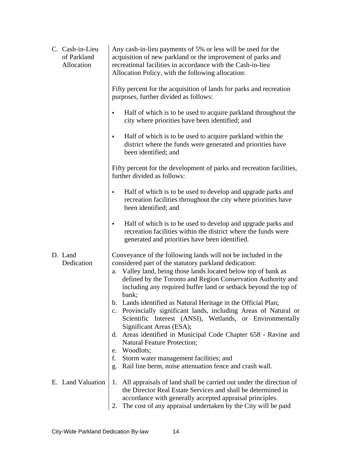| C. Cash-in-Lieu<br>of Parkland<br>Allocation | Any cash-in-lieu payments of 5% or less will be used for the<br>acquisition of new parkland or the improvement of parks and<br>recreational facilities in accordance with the Cash-in-lieu<br>Allocation Policy, with the following allocation:                                                                                                                                                                                                                                                                                       |
|----------------------------------------------|---------------------------------------------------------------------------------------------------------------------------------------------------------------------------------------------------------------------------------------------------------------------------------------------------------------------------------------------------------------------------------------------------------------------------------------------------------------------------------------------------------------------------------------|
|                                              | Fifty percent for the acquisition of lands for parks and recreation<br>purposes, further divided as follows:                                                                                                                                                                                                                                                                                                                                                                                                                          |
|                                              | Half of which is to be used to acquire parkland throughout the<br>city where priorities have been identified; and                                                                                                                                                                                                                                                                                                                                                                                                                     |
|                                              | Half of which is to be used to acquire parkland within the<br>district where the funds were generated and priorities have<br>been identified; and                                                                                                                                                                                                                                                                                                                                                                                     |
|                                              | Fifty percent for the development of parks and recreation facilities,<br>further divided as follows:                                                                                                                                                                                                                                                                                                                                                                                                                                  |
|                                              | Half of which is to be used to develop and upgrade parks and<br>recreation facilities throughout the city where priorities have<br>been identified; and                                                                                                                                                                                                                                                                                                                                                                               |
|                                              | Half of which is to be used to develop and upgrade parks and<br>recreation facilities within the district where the funds were<br>generated and priorities have been identified.                                                                                                                                                                                                                                                                                                                                                      |
| D. Land<br>Dedication                        | Conveyance of the following lands will not be included in the<br>considered part of the statutory parkland dedication:<br>a. Valley land, being those lands located below top of bank as<br>defined by the Toronto and Region Conservation Authority and<br>including any required buffer land or setback beyond the top of<br>bank:<br>b. Lands identified as Natural Heritage in the Official Plan;<br>c. Provincially significant lands, including Areas of Natural or<br>Scientific Interest (ANSI), Wetlands, or Environmentally |
|                                              | Significant Areas (ESA);<br>d. Areas identified in Municipal Code Chapter 658 - Ravine and<br><b>Natural Feature Protection;</b><br>e. Woodlots;<br>f. Storm water management facilities; and                                                                                                                                                                                                                                                                                                                                         |
|                                              | g. Rail line berm, noise attenuation fence and crash wall.                                                                                                                                                                                                                                                                                                                                                                                                                                                                            |
| E. Land Valuation                            | All appraisals of land shall be carried out under the direction of<br>the Director Real Estate Services and shall be determined in<br>accordance with generally accepted appraisal principles.                                                                                                                                                                                                                                                                                                                                        |
|                                              | 2. The cost of any appraisal undertaken by the City will be paid                                                                                                                                                                                                                                                                                                                                                                                                                                                                      |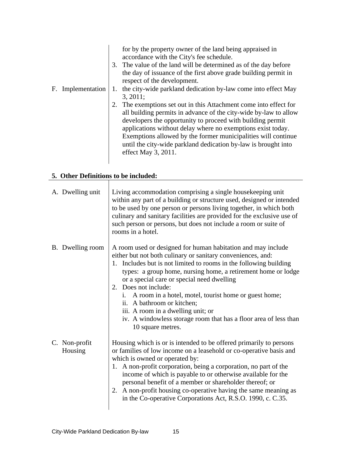|                   | for by the property owner of the land being appraised in<br>accordance with the City's fee schedule.<br>The value of the land will be determined as of the day before<br>the day of issuance of the first above grade building permit in<br>respect of the development. |  |  |
|-------------------|-------------------------------------------------------------------------------------------------------------------------------------------------------------------------------------------------------------------------------------------------------------------------|--|--|
| F. Implementation | the city-wide parkland dedication by-law come into effect May                                                                                                                                                                                                           |  |  |
|                   | 3, 2011;                                                                                                                                                                                                                                                                |  |  |
|                   | The exemptions set out in this Attachment come into effect for                                                                                                                                                                                                          |  |  |
|                   | all building permits in advance of the city-wide by-law to allow                                                                                                                                                                                                        |  |  |
|                   | developers the opportunity to proceed with building permit                                                                                                                                                                                                              |  |  |
|                   | applications without delay where no exemptions exist today.                                                                                                                                                                                                             |  |  |
|                   | Exemptions allowed by the former municipalities will continue                                                                                                                                                                                                           |  |  |
|                   | until the city-wide parkland dedication by-law is brought into                                                                                                                                                                                                          |  |  |
|                   | effect May 3, 2011.                                                                                                                                                                                                                                                     |  |  |
|                   |                                                                                                                                                                                                                                                                         |  |  |

# **5. Other Definitions to be included:**

| A. Dwelling unit         | Living accommodation comprising a single housekeeping unit<br>within any part of a building or structure used, designed or intended<br>to be used by one person or persons living together, in which both<br>culinary and sanitary facilities are provided for the exclusive use of<br>such person or persons, but does not include a room or suite of<br>rooms in a hotel.                                                                                                                                                                                |
|--------------------------|------------------------------------------------------------------------------------------------------------------------------------------------------------------------------------------------------------------------------------------------------------------------------------------------------------------------------------------------------------------------------------------------------------------------------------------------------------------------------------------------------------------------------------------------------------|
| B. Dwelling room         | A room used or designed for human habitation and may include<br>either but not both culinary or sanitary conveniences, and:<br>Includes but is not limited to rooms in the following building<br>types: a group home, nursing home, a retirement home or lodge<br>or a special care or special need dwelling<br>Does not include:<br>i. A room in a hotel, motel, tourist home or guest home;<br>ii. A bathroom or kitchen;<br>iii. A room in a dwelling unit; or<br>iv. A windowless storage room that has a floor area of less than<br>10 square metres. |
| C. Non-profit<br>Housing | Housing which is or is intended to be offered primarily to persons<br>or families of low income on a leasehold or co-operative basis and<br>which is owned or operated by:<br>A non-profit corporation, being a corporation, no part of the<br>income of which is payable to or otherwise available for the<br>personal benefit of a member or shareholder thereof; or<br>A non-profit housing co-operative having the same meaning as<br>in the Co-operative Corporations Act, R.S.O. 1990, c. C.35.                                                      |